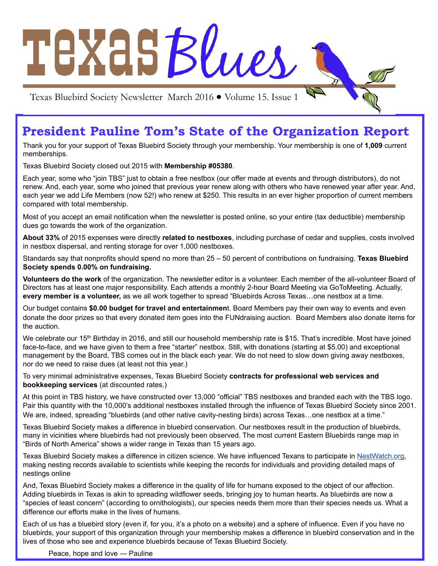

# **President Pauline Tom's State of the Organization Report**

Thank you for your support of Texas Bluebird Society through your membership. Your membership is one of **1,009** current memberships.

Texas Bluebird Society closed out 2015 with **Membership #05380**.

Each year, some who "join TBS" just to obtain a free nestbox (our offer made at events and through distributors), do not renew. And, each year, some who joined that previous year renew along with others who have renewed year after year. And, each year we add Life Members (now 52!) who renew at \$250. This results in an ever higher proportion of current members compared with total membership.

Most of you accept an email notification when the newsletter is posted online, so your entire (tax deductible) membership dues go towards the work of the organization.

**About 33%** of 2015 expenses were directly **related to nestboxes**, including purchase of cedar and supplies, costs involved in nestbox dispersal, and renting storage for over 1,000 nestboxes.

Standards say that nonprofits should spend no more than 25 – 50 percent of contributions on fundraising. **Texas Bluebird Society spends 0.00% on fundraising.**

**Volunteers do the work** of the organization. The newsletter editor is a volunteer. Each member of the all-volunteer Board of Directors has at least one major responsibility. Each attends a monthly 2-hour Board Meeting via GoToMeeting. Actually, **every member is a volunteer,** as we all work together to spread "Bluebirds Across Texas…one nestbox at a time.

Our budget contains **\$0.00 budget for travel and entertainmen**t. Board Members pay their own way to events and even donate the door prizes so that every donated item goes into the FUNdraising auction. Board Members also donate items for the auction.

We celebrate our 15<sup>th</sup> Birthday in 2016, and still our household membership rate is \$15. That's incredible. Most have joined face-to-face, and we have given to them a free "starter" nestbox. Still, with donations (starting at \$5.00) and exceptional management by the Board, TBS comes out in the black each year. We do not need to slow down giving away nestboxes, nor do we need to raise dues (at least not this year.)

To very minimal administrative expenses, Texas Bluebird Society **contracts for professional web services and bookkeeping services** (at discounted rates.)

At this point in TBS history, we have constructed over 13,000 "official" TBS nestboxes and branded each with the TBS logo. Pair this quantity with the 10,000's additional nestboxes installed through the influence of Texas Bluebird Society since 2001. We are, indeed, spreading "bluebirds (and other native cavity-nesting birds) across Texas…one nestbox at a time."

Texas Bluebird Society makes a difference in bluebird conservation. Our nestboxes result in the production of bluebirds, many in vicinities where bluebirds had not previously been observed. The most current Eastern Bluebirds range map in "Birds of North America" shows a wider range in Texas than 15 years ago.

Texas Bluebird Society makes a difference in citizen science. We have influenced Texans to participate in [NestWatch.org,](http://nestwatch.org/) making nesting records available to scientists while keeping the records for individuals and providing detailed maps of nestings online

And, Texas Bluebird Society makes a difference in the quality of life for humans exposed to the object of our affection. Adding bluebirds in Texas is akin to spreading wildflower seeds, bringing joy to human hearts. As bluebirds are now a "species of least concern" (according to ornithologists), our species needs them more than their species needs us. What a difference our efforts make in the lives of humans.

Each of us has a bluebird story (even if, for you, it's a photo on a website) and a sphere of influence. Even if you have no bluebirds, your support of this organization through your membership makes a difference in bluebird conservation and in the lives of those who see and experience bluebirds because of Texas Bluebird Society.

Peace, hope and love — Pauline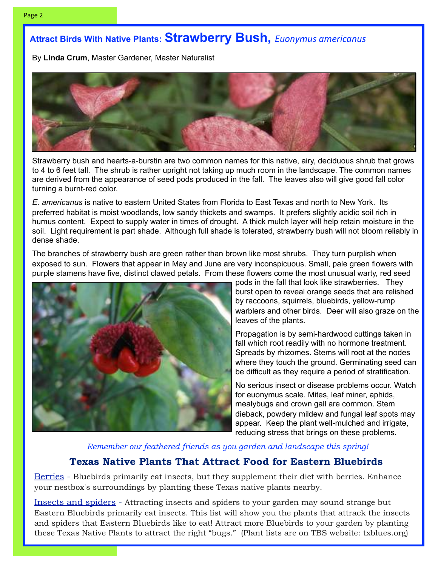### **Attract Birds With Native Plants: Strawberry Bush,** *Euonymus americanus*

By **Linda Crum**, Master Gardener, Master Naturalist



Strawberry bush and hearts-a-burstin are two common names for this native, airy, deciduous shrub that grows to 4 to 6 feet tall. The shrub is rather upright not taking up much room in the landscape. The common names are derived from the appearance of seed pods produced in the fall. The leaves also will give good fall color turning a burnt-red color.

*E. americanus* is native to eastern United States from Florida to East Texas and north to New York. Its preferred habitat is moist woodlands, low sandy thickets and swamps. It prefers slightly acidic soil rich in humus content. Expect to supply water in times of drought. A thick mulch layer will help retain moisture in the soil. Light requirement is part shade. Although full shade is tolerated, strawberry bush will not bloom reliably in dense shade.

The branches of strawberry bush are green rather than brown like most shrubs. They turn purplish when exposed to sun. Flowers that appear in May and June are very inconspicuous. Small, pale green flowers with purple stamens have five, distinct clawed petals. From these flowers come the most unusual warty, red seed



pods in the fall that look like strawberries. They burst open to reveal orange seeds that are relished by raccoons, squirrels, bluebirds, yellow-rump warblers and other birds. Deer will also graze on the leaves of the plants.

Propagation is by semi-hardwood cuttings taken in fall which root readily with no hormone treatment. Spreads by rhizomes. Stems will root at the nodes where they touch the ground. Germinating seed can be difficult as they require a period of stratification.

No serious insect or disease problems occur. Watch for euonymus scale. Mites, leaf miner, aphids, mealybugs and crown gall are common. Stem dieback, powdery mildew and fungal leaf spots may appear. Keep the plant well-mulched and irrigate, reducing stress that brings on these problems.

*Remember our feathered friends as you garden and landscape this spring!*

### **Texas Native Plants That Attract Food for Eastern Bluebirds**

[Berries](http://texasbluebirdsociety.org/documents/2015_plants_berries.pdf) - Bluebirds primarily eat insects, but they supplement their diet with berries. Enhance your nestbox's surroundings by planting these Texas native plants nearby.

[Insects and spiders](http://texasbluebirdsociety.org/documents/2015_plants_insects.pdf) - Attracting insects and spiders to your garden may sound strange but Eastern Bluebirds primarily eat insects. This list will show you the plants that attrack the insects and spiders that Eastern Bluebirds like to eat! Attract more Bluebirds to your garden by planting these Texas Native Plants to attract the right "bugs." (Plant lists are on TBS website: txblues.org)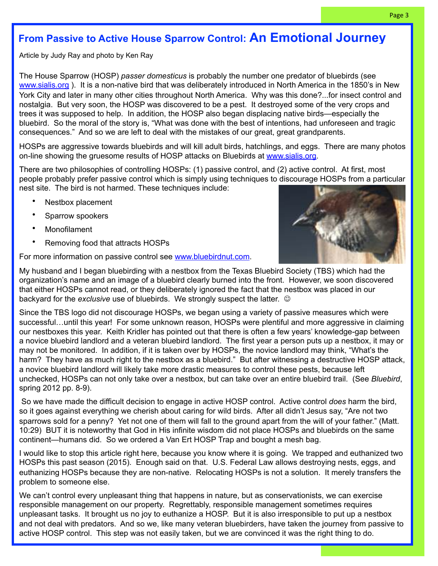### **From Passive to Active House Sparrow Control: An Emotional Journey**

Article by Judy Ray and photo by Ken Ray

The House Sparrow (HOSP) *passer domesticus* is probably the number one predator of bluebirds (see [www.sialis.org](http://www.sialis.org) ). It is a non-native bird that was deliberately introduced in North America in the 1850's in New York City and later in many other cities throughout North America. Why was this done?...for insect control and nostalgia. But very soon, the HOSP was discovered to be a pest. It destroyed some of the very crops and trees it was supposed to help. In addition, the HOSP also began displacing native birds—especially the bluebird. So the moral of the story is, "What was done with the best of intentions, had unforeseen and tragic consequences." And so we are left to deal with the mistakes of our great, great grandparents.

HOSPs are aggressive towards bluebirds and will kill adult birds, hatchlings, and eggs. There are many photos on-line showing the gruesome results of HOSP attacks on Bluebirds at [www.sialis.org.](http://www.sialis.org)

There are two philosophies of controlling HOSPs: (1) passive control, and (2) active control. At first, most people probably prefer passive control which is simply using techniques to discourage HOSPs from a particular nest site. The bird is not harmed. These techniques include:

- Nestbox placement
- Sparrow spookers
- Monofilament
- Removing food that attracts HOSPs

For more information on passive control see [www.bluebirdnut.com.](http://www.bluebirdnut.com)



My husband and I began bluebirding with a nestbox from the Texas Bluebird Society (TBS) which had the organization's name and an image of a bluebird clearly burned into the front. However, we soon discovered that either HOSPs cannot read, or they deliberately ignored the fact that the nestbox was placed in our backyard for the *exclusive* use of bluebirds. We strongly suspect the latter.  $\odot$ 

Since the TBS logo did not discourage HOSPs, we began using a variety of passive measures which were successful...until this year! For some unknown reason, HOSPs were plentiful and more aggressive in claiming our nestboxes this year. Keith Kridler has pointed out that there is often a few years' knowledge-gap between a novice bluebird landlord and a veteran bluebird landlord. The first year a person puts up a nestbox, it may or may not be monitored. In addition, if it is taken over by HOSPs, the novice landlord may think, "What's the harm? They have as much right to the nestbox as a bluebird." But after witnessing a destructive HOSP attack, a novice bluebird landlord will likely take more drastic measures to control these pests, because left unchecked, HOSPs can not only take over a nestbox, but can take over an entire bluebird trail. (See *Bluebird*, spring 2012 pp. 8-9).

 So we have made the difficult decision to engage in active HOSP control. Active control *does* harm the bird, so it goes against everything we cherish about caring for wild birds. After all didn't Jesus say, "Are not two sparrows sold for a penny? Yet not one of them will fall to the ground apart from the will of your father." (Matt. 10:29) BUT it is noteworthy that God in His infinite wisdom did not place HOSPs and bluebirds on the same continent—humans did. So we ordered a Van Ert HOSP Trap and bought a mesh bag.

I would like to stop this article right here, because you know where it is going. We trapped and euthanized two HOSPs this past season (2015). Enough said on that. U.S. Federal Law allows destroying nests, eggs, and euthanizing HOSPs because they are non-native. Relocating HOSPs is not a solution. It merely transfers the problem to someone else.

We can't control every unpleasant thing that happens in nature, but as conservationists, we can exercise responsible management on our property. Regrettably, responsible management sometimes requires unpleasant tasks. It brought us no joy to euthanize a HOSP. But it is also irresponsible to put up a nestbox and not deal with predators. And so we, like many veteran bluebirders, have taken the journey from passive to active HOSP control. This step was not easily taken, but we are convinced it was the right thing to do.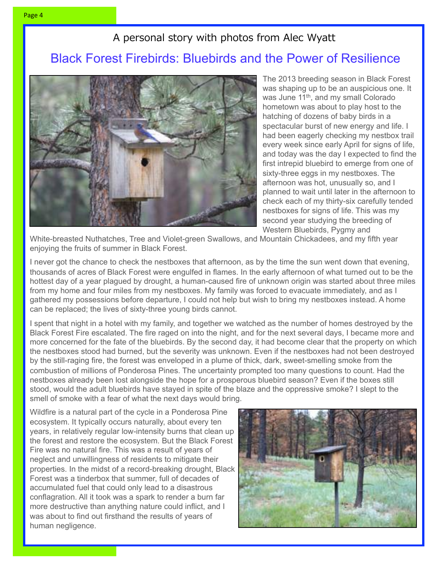### A personal story with photos from Alec Wyatt

# Black Forest Firebirds: Bluebirds and the Power of Resilience



The 2013 breeding season in Black Forest was shaping up to be an auspicious one. It was June 11<sup>th</sup>, and my small Colorado hometown was about to play host to the hatching of dozens of baby birds in a spectacular burst of new energy and life. I had been eagerly checking my nestbox trail every week since early April for signs of life, and today was the day I expected to find the first intrepid bluebird to emerge from one of sixty-three eggs in my nestboxes. The afternoon was hot, unusually so, and I planned to wait until later in the afternoon to check each of my thirty-six carefully tended nestboxes for signs of life. This was my second year studying the breeding of Western Bluebirds, Pygmy and

White-breasted Nuthatches, Tree and Violet-green Swallows, and Mountain Chickadees, and my fifth year enjoying the fruits of summer in Black Forest.

I never got the chance to check the nestboxes that afternoon, as by the time the sun went down that evening, thousands of acres of Black Forest were engulfed in flames. In the early afternoon of what turned out to be the hottest day of a year plagued by drought, a human-caused fire of unknown origin was started about three miles from my home and four miles from my nestboxes. My family was forced to evacuate immediately, and as I gathered my possessions before departure, I could not help but wish to bring my nestboxes instead. A home can be replaced; the lives of sixty-three young birds cannot.

I spent that night in a hotel with my family, and together we watched as the number of homes destroyed by the Black Forest Fire escalated. The fire raged on into the night, and for the next several days, I became more and more concerned for the fate of the bluebirds. By the second day, it had become clear that the property on which the nestboxes stood had burned, but the severity was unknown. Even if the nestboxes had not been destroyed by the still-raging fire, the forest was enveloped in a plume of thick, dark, sweet-smelling smoke from the combustion of millions of Ponderosa Pines. The uncertainty prompted too many questions to count. Had the nestboxes already been lost alongside the hope for a prosperous bluebird season? Even if the boxes still stood, would the adult bluebirds have stayed in spite of the blaze and the oppressive smoke? I slept to the smell of smoke with a fear of what the next days would bring.

Wildfire is a natural part of the cycle in a Ponderosa Pine ecosystem. It typically occurs naturally, about every ten years, in relatively regular low-intensity burns that clean up the forest and restore the ecosystem. But the Black Forest Fire was no natural fire. This was a result of years of neglect and unwillingness of residents to mitigate their properties. In the midst of a record-breaking drought, Black Forest was a tinderbox that summer, full of decades of accumulated fuel that could only lead to a disastrous conflagration. All it took was a spark to render a burn far more destructive than anything nature could inflict, and I was about to find out firsthand the results of years of human negligence.

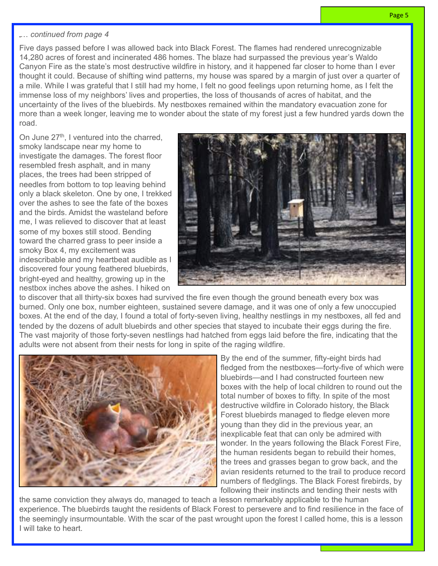### … *continued from page 4*

Five days passed before I was allowed back into Black Forest. The flames had rendered unrecognizable 14,280 acres of forest and incinerated 486 homes. The blaze had surpassed the previous year's Waldo Canyon Fire as the state's most destructive wildfire in history, and it happened far closer to home than I ever thought it could. Because of shifting wind patterns, my house was spared by a margin of just over a quarter of a mile. While I was grateful that I still had my home, I felt no good feelings upon returning home, as I felt the immense loss of my neighbors' lives and properties, the loss of thousands of acres of habitat, and the uncertainty of the lives of the bluebirds. My nestboxes remained within the mandatory evacuation zone for more than a week longer, leaving me to wonder about the state of my forest just a few hundred yards down the road.

On June 27<sup>th</sup>, I ventured into the charred, smoky landscape near my home to investigate the damages. The forest floor resembled fresh asphalt, and in many places, the trees had been stripped of needles from bottom to top leaving behind only a black skeleton. One by one, I trekked over the ashes to see the fate of the boxes and the birds. Amidst the wasteland before me, I was relieved to discover that at least some of my boxes still stood. Bending toward the charred grass to peer inside a smoky Box 4, my excitement was indescribable and my heartbeat audible as I discovered four young feathered bluebirds, bright-eyed and healthy, growing up in the nestbox inches above the ashes. I hiked on



to discover that all thirty-six boxes had survived the fire even though the ground beneath every box was burned. Only one box, number eighteen, sustained severe damage, and it was one of only a few unoccupied boxes. At the end of the day, I found a total of forty-seven living, healthy nestlings in my nestboxes, all fed and tended by the dozens of adult bluebirds and other species that stayed to incubate their eggs during the fire. The vast majority of those forty-seven nestlings had hatched from eggs laid before the fire, indicating that the adults were not absent from their nests for long in spite of the raging wildfire.



By the end of the summer, fifty-eight birds had fledged from the nestboxes—forty-five of which were bluebirds—and I had constructed fourteen new boxes with the help of local children to round out the total number of boxes to fifty. In spite of the most destructive wildfire in Colorado history, the Black Forest bluebirds managed to fledge eleven more young than they did in the previous year, an inexplicable feat that can only be admired with wonder. In the years following the Black Forest Fire, the human residents began to rebuild their homes, the trees and grasses began to grow back, and the avian residents returned to the trail to produce record numbers of fledglings. The Black Forest firebirds, by following their instincts and tending their nests with

the same conviction they always do, managed to teach a lesson remarkably applicable to the human experience. The bluebirds taught the residents of Black Forest to persevere and to find resilience in the face of the seemingly insurmountable. With the scar of the past wrought upon the forest I called home, this is a lesson I will take to heart.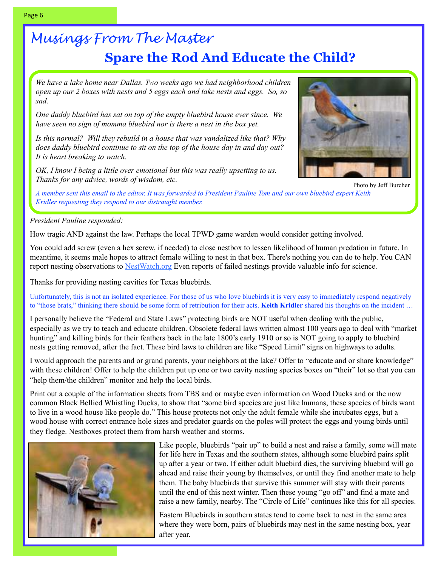# *Musings From The Master* **Spare the Rod And Educate the Child?**

*We have a lake home near Dallas. Two weeks ago we had neighborhood children open up our 2 boxes with nests and 5 eggs each and take nests and eggs. So, so sad.*

*One daddy bluebird has sat on top of the empty bluebird house ever since. We have seen no sign of momma bluebird nor is there a nest in the box yet.*

*Is this normal? Will they rebuild in a house that was vandalized like that? Why does daddy bluebird continue to sit on the top of the house day in and day out? It is heart breaking to watch.*

*OK, I know I being a little over emotional but this was really upsetting to us. Thanks for any advice, words of wisdom, etc.*



Photo by Jeff Burcher

*A member sent this email to the editor. It was forwarded to President Pauline Tom and our own bluebird expert Keith Kridler requesting they respond to our distraught member.*

### *President Pauline responded:*

How tragic AND against the law. Perhaps the local TPWD game warden would consider getting involved.

 You could add screw (even a hex screw, if needed) to close nestbox to lessen likelihood of human predation in future. In meantime, it seems male hopes to attract female willing to nest in that box. There's nothing you can do to help. You CAN report nesting observations to [NestWatch.org](http://nestwatch.org/) Even reports of failed nestings provide valuable info for science.

Thanks for providing nesting cavities for Texas bluebirds.

Unfortunately, this is not an isolated experience. For those of us who love bluebirds it is very easy to immediately respond negatively to "those brats," thinking there should be some form of retribution for their acts. **Keith Kridler** shared his thoughts on the incident …

I personally believe the "Federal and State Laws" protecting birds are NOT useful when dealing with the public, especially as we try to teach and educate children. Obsolete federal laws written almost 100 years ago to deal with "market hunting" and killing birds for their feathers back in the late 1800's early 1910 or so is NOT going to apply to bluebird nests getting removed, after the fact. These bird laws to children are like "Speed Limit" signs on highways to adults.

I would approach the parents and or grand parents, your neighbors at the lake? Offer to "educate and or share knowledge" with these children! Offer to help the children put up one or two cavity nesting species boxes on "their" lot so that you can "help them/the children" monitor and help the local birds.

Print out a couple of the information sheets from TBS and or maybe even information on Wood Ducks and or the now common Black Bellied Whistling Ducks, to show that "some bird species are just like humans, these species of birds want to live in a wood house like people do." This house protects not only the adult female while she incubates eggs, but a wood house with correct entrance hole sizes and predator guards on the poles will protect the eggs and young birds until they fledge. Nestboxes protect them from harsh weather and storms.



Like people, bluebirds "pair up" to build a nest and raise a family, some will mate for life here in Texas and the southern states, although some bluebird pairs split up after a year or two. If either adult bluebird dies, the surviving bluebird will go ahead and raise their young by themselves, or until they find another mate to help them. The baby bluebirds that survive this summer will stay with their parents until the end of this next winter. Then these young "go off" and find a mate and raise a new family, nearby. The "Circle of Life" continues like this for all species.

Eastern Bluebirds in southern states tend to come back to nest in the same area where they were born, pairs of bluebirds may nest in the same nesting box, year after year.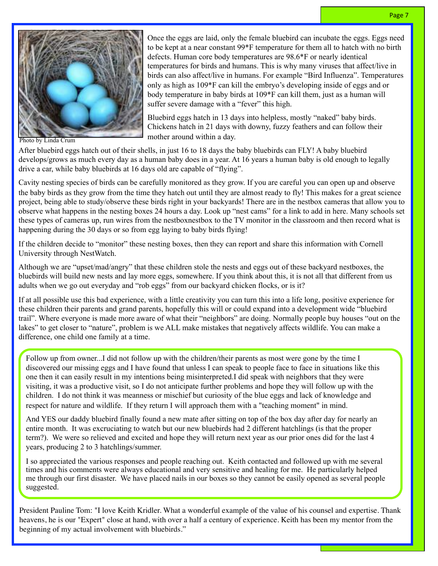

Once the eggs are laid, only the female bluebird can incubate the eggs. Eggs need to be kept at a near constant 99\*F temperature for them all to hatch with no birth defects. Human core body temperatures are 98.6\*F or nearly identical temperatures for birds and humans. This is why many viruses that affect/live in birds can also affect/live in humans. For example "Bird Influenza". Temperatures only as high as 109\*F can kill the embryo's developing inside of eggs and or body temperature in baby birds at 109\*F can kill them, just as a human will suffer severe damage with a "fever" this high.

Bluebird eggs hatch in 13 days into helpless, mostly "naked" baby birds. Chickens hatch in 21 days with downy, fuzzy feathers and can follow their mother around within a day.

After bluebird eggs hatch out of their shells, in just 16 to 18 days the baby bluebirds can FLY! A baby bluebird develops/grows as much every day as a human baby does in a year. At 16 years a human baby is old enough to legally drive a car, while baby bluebirds at 16 days old are capable of "flying".

Cavity nesting species of birds can be carefully monitored as they grow. If you are careful you can open up and observe the baby birds as they grow from the time they hatch out until they are almost ready to fly! This makes for a great science project, being able to study/observe these birds right in your backyards! There are in the nestbox cameras that allow you to observe what happens in the nesting boxes 24 hours a day. Look up "nest cams" for a link to add in here. Many schools set these types of cameras up, run wires from the nestboxnestbox to the TV monitor in the classroom and then record what is happening during the 30 days or so from egg laying to baby birds flying!

If the children decide to "monitor" these nesting boxes, then they can report and share this information with Cornell University through NestWatch.

Although we are "upset/mad/angry" that these children stole the nests and eggs out of these backyard nestboxes, the bluebirds will build new nests and lay more eggs, somewhere. If you think about this, it is not all that different from us adults when we go out everyday and "rob eggs" from our backyard chicken flocks, or is it?

If at all possible use this bad experience, with a little creativity you can turn this into a life long, positive experience for these children their parents and grand parents, hopefully this will or could expand into a development wide "bluebird trail". Where everyone is made more aware of what their "neighbors" are doing. Normally people buy houses "out on the lakes" to get closer to "nature", problem is we ALL make mistakes that negatively affects wildlife. You can make a difference, one child one family at a time.

Follow up from owner...I did not follow up with the children/their parents as most were gone by the time I discovered our missing eggs and I have found that unless I can speak to people face to face in situations like this one then it can easily result in my intentions being misinterpreted.I did speak with neighbors that they were visiting, it was a productive visit, so I do not anticipate further problems and hope they will follow up with the children. I do not think it was meanness or mischief but curiosity of the blue eggs and lack of knowledge and respect for nature and wildlife. If they return I will approach them with a "teaching moment" in mind.

And YES our daddy bluebird finally found a new mate after sitting on top of the box day after day for nearly an entire month. It was excruciating to watch but our new bluebirds had 2 different hatchlings (is that the proper term?). We were so relieved and excited and hope they will return next year as our prior ones did for the last 4 years, producing 2 to 3 hatchlings/summer.

I so appreciated the various responses and people reaching out. Keith contacted and followed up with me several times and his comments were always educational and very sensitive and healing for me. He particularly helped me through our first disaster. We have placed nails in our boxes so they cannot be easily opened as several people suggested.

President Pauline Tom: "I love Keith Kridler. What a wonderful example of the value of his counsel and expertise. Thank heavens, he is our "Expert" close at hand, with over a half a century of experience. Keith has been my mentor from the beginning of my actual involvement with bluebirds."

Photo by Linda Crum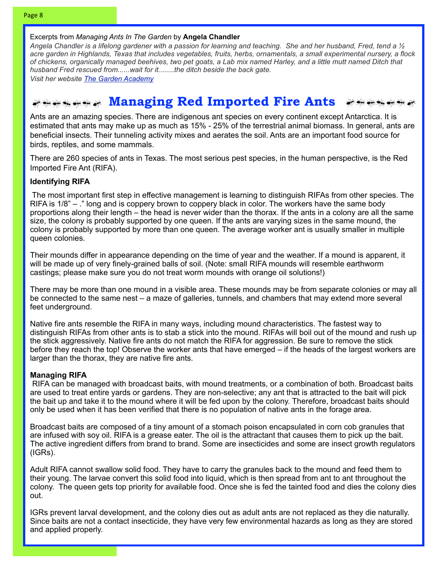#### Excerpts from *Managing Ants In The Garden* by **Angela Chandler**

*Angela Chandler is a lifelong gardener with a passion for learning and teaching. She and her husband, Fred, tend a ½ acre garden in Highlands, Texas that includes vegetables, fruits, herbs, ornamentals, a small experimental nursery, a flock of chickens, organically managed beehives, two pet goats, a Lab mix named Harley, and a little mutt named Ditch that husband Fred rescued from......wait for it........the ditch beside the back gate.*

*Visit her website [The Garden Academy](http://thegardenacademy.com)*

### *Managing Red Imported Fire Ants*

Ants are an amazing species. There are indigenous ant species on every continent except Antarctica. It is estimated that ants may make up as much as 15% - 25% of the terrestrial animal biomass. In general, ants are beneficial insects. Their tunneling activity mixes and aerates the soil. Ants are an important food source for birds, reptiles, and some mammals.

There are 260 species of ants in Texas. The most serious pest species, in the human perspective, is the Red Imported Fire Ant (RIFA).

#### **Identifying RIFA**

 The most important first step in effective management is learning to distinguish RIFAs from other species. The RIFA is 1/8" – ." long and is coppery brown to coppery black in color. The workers have the same body proportions along their length – the head is never wider than the thorax. If the ants in a colony are all the same size, the colony is probably supported by one queen. If the ants are varying sizes in the same mound, the colony is probably supported by more than one queen. The average worker ant is usually smaller in multiple queen colonies.

Their mounds differ in appearance depending on the time of year and the weather. If a mound is apparent, it will be made up of very finely-grained balls of soil. (Note: small RIFA mounds will resemble earthworm castings; please make sure you do not treat worm mounds with orange oil solutions!)

There may be more than one mound in a visible area. These mounds may be from separate colonies or may all be connected to the same nest – a maze of galleries, tunnels, and chambers that may extend more several feet underground.

Native fire ants resemble the RIFA in many ways, including mound characteristics. The fastest way to distinguish RIFAs from other ants is to stab a stick into the mound. RIFAs will boil out of the mound and rush up the stick aggressively. Native fire ants do not match the RIFA for aggression. Be sure to remove the stick before they reach the top! Observe the worker ants that have emerged – if the heads of the largest workers are larger than the thorax, they are native fire ants.

#### **Managing RIFA**

 RIFA can be managed with broadcast baits, with mound treatments, or a combination of both. Broadcast baits are used to treat entire yards or gardens. They are non-selective; any ant that is attracted to the bait will pick the bait up and take it to the mound where it will be fed upon by the colony. Therefore, broadcast baits should only be used when it has been verified that there is no population of native ants in the forage area.

Broadcast baits are composed of a tiny amount of a stomach poison encapsulated in corn cob granules that are infused with soy oil. RIFA is a grease eater. The oil is the attractant that causes them to pick up the bait. The active ingredient differs from brand to brand. Some are insecticides and some are insect growth regulators (IGRs).

Adult RIFA cannot swallow solid food. They have to carry the granules back to the mound and feed them to their young. The larvae convert this solid food into liquid, which is then spread from ant to ant throughout the colony. The queen gets top priority for available food. Once she is fed the tainted food and dies the colony dies out.

IGRs prevent larval development, and the colony dies out as adult ants are not replaced as they die naturally. Since baits are not a contact insecticide, they have very few environmental hazards as long as they are stored and applied properly.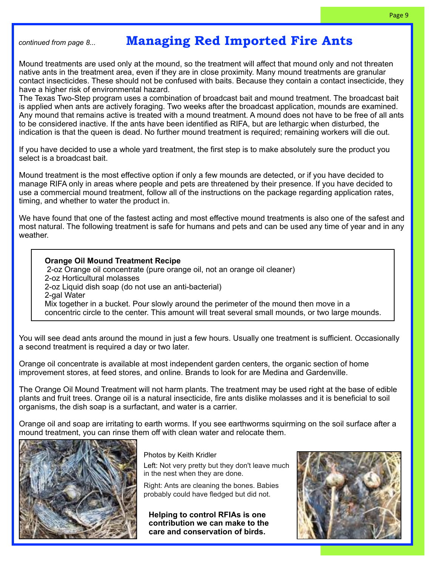## *continued from page 8...* **Managing Red Imported Fire Ants**

Mound treatments are used only at the mound, so the treatment will affect that mound only and not threaten native ants in the treatment area, even if they are in close proximity. Many mound treatments are granular contact insecticides. These should not be confused with baits. Because they contain a contact insecticide, they have a higher risk of environmental hazard.

The Texas Two-Step program uses a combination of broadcast bait and mound treatment. The broadcast bait is applied when ants are actively foraging. Two weeks after the broadcast application, mounds are examined. Any mound that remains active is treated with a mound treatment. A mound does not have to be free of all ants to be considered inactive. If the ants have been identified as RIFA, but are lethargic when disturbed, the indication is that the queen is dead. No further mound treatment is required; remaining workers will die out.

If you have decided to use a whole yard treatment, the first step is to make absolutely sure the product you select is a broadcast bait.

Mound treatment is the most effective option if only a few mounds are detected, or if you have decided to manage RIFA only in areas where people and pets are threatened by their presence. If you have decided to use a commercial mound treatment, follow all of the instructions on the package regarding application rates, timing, and whether to water the product in.

We have found that one of the fastest acting and most effective mound treatments is also one of the safest and most natural. The following treatment is safe for humans and pets and can be used any time of year and in any weather.

**Orange Oil Mound Treatment Recipe** 2-oz Orange oil concentrate (pure orange oil, not an orange oil cleaner) 2-oz Horticultural molasses 2-oz Liquid dish soap (do not use an anti-bacterial) 2-gal Water Mix together in a bucket. Pour slowly around the perimeter of the mound then move in a concentric circle to the center. This amount will treat several small mounds, or two large mounds.

You will see dead ants around the mound in just a few hours. Usually one treatment is sufficient. Occasionally a second treatment is required a day or two later.

Orange oil concentrate is available at most independent garden centers, the organic section of home improvement stores, at feed stores, and online. Brands to look for are Medina and Gardenville.

The Orange Oil Mound Treatment will not harm plants. The treatment may be used right at the base of edible plants and fruit trees. Orange oil is a natural insecticide, fire ants dislike molasses and it is beneficial to soil organisms, the dish soap is a surfactant, and water is a carrier.

Orange oil and soap are irritating to earth worms. If you see earthworms squirming on the soil surface after a mound treatment, you can rinse them off with clean water and relocate them.



Photos by Keith Kridler

Left: Not very pretty but they don't leave much in the nest when they are done.

Right: Ants are cleaning the bones. Babies probably could have fledged but did not.

**Helping to control RFIAs is one contribution we can make to the care and conservation of birds.**

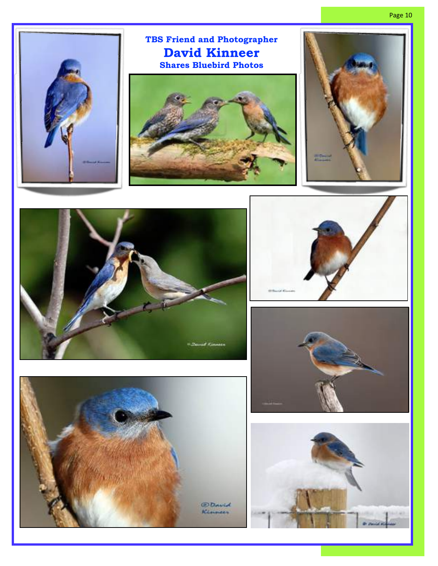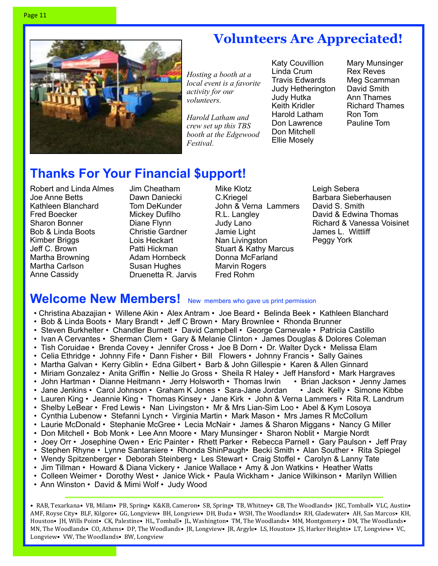

# **Volunteers Are Appreciated!**

*Hosting a booth at a local event is a favorite activity for our volunteers.* 

*Harold Latham and crew set up this TBS booth at the Edgewood Festival*.

Katy Couvillion Linda Crum Travis Edwards Judy Hetherington Judy Hutka Keith Kridler Harold Latham Don Lawrence Don Mitchell Ellie Mosely

Mary Munsinger Rex Reves Meg Scamman David Smith Ann Thames Richard Thames Ron Tom Pauline Tom

# **Thanks For Your Financial \$upport!**

Robert and Linda Almes Joe Anne Betts Kathleen Blanchard Fred Boecker Sharon Bonner Bob & Linda Boots Kimber Briggs Jeff C. Brown Martha Browning Martha Carlson Anne Cassidy

Jim Cheatham Dawn Daniecki Tom DeKunder Mickey Dufilho Diane Flynn Christie Gardner Lois Heckart Patti Hickman Adam Hornbeck Susan Hughes Druenetta R. Jarvis Mike Klotz C.Kriegel John & Verna Lammers R.L. Langley Judy Lano Jamie Light Nan Livingston Stuart & Kathy Marcus Donna McFarland Marvin Rogers Fred Rohm

Leigh Sebera Barbara Sieberhausen David S. Smith David & Edwina Thomas Richard & Vanessa Voisinet James L. Wittliff Peggy York

# **Welcome New Members!** New members who gave us print permission

- Christina Abazajian Willene Akin Alex Antram Joe Beard Belinda Beek Kathleen Blanchard
- Bob & Linda Boots Mary Brandt Jeff C Brown Mary Brownlee Rhonda Brunner
- Steven Burkhelter Chandler Burnett David Campbell George Carnevale Patricia Castillo
- Ivan A Cervantes Sherman Clem Gary & Melanie Clinton James Douglas & Dolores Coleman
- Tish Coruidae Brenda Covey Jennifer Cross Joe B Dorn Dr. Walter Dyck Melissa Elam
- Celia Ethridge Johnny Fife Dann Fisher Bill Flowers Johnny Francis Sally Gaines
- Martha Galvan Kerry Giblin Edna Gilbert Barb & John Gillespie Karen & Allen Ginnard
- Miriam Gonzalez Anita Griffin Nellie Jo Gross Sheila R Haley Jeff Hansford Mark Hargraves
- John Hartman Dianne Heitmann Jerry Holsworth Thomas Irwin Brian Jackson Jenny James • Jane Jenkins • Carol Johnson • Graham K Jones • Sara-Jane Jordan • Jack Kelly • Simone Kibbe
- Lauren King Jeannie King Thomas Kinsey Jane Kirk John & Verna Lammers Rita R. Landrum
- Shelby LeBear Fred Lewis Nan Livingston Mr & Mrs Lian-Sim Loo Abel & Kym Losoya
- Cynthia Lubenow Stefanni Lynch Virginia Martin Mark Mason Mrs James R McCollum
- Laurie McDonald Stephanie McGree Lecia McNair James & Sharon Miggans Nancy G Miller
- Don Mitchell Bob Monk Lee Ann Moore Mary Munsinger Sharon Noblit Margie Nordt
- Joey Orr Josephine Owen Eric Painter Rhett Parker Rebecca Parnell Gary Paulson Jeff Pray
- Stephen Rhyne Lynne Santarsiere Rhonda ShinPaugh• Becki Smith Alan Souther Rita Spiegel
- Wendy Spitzenberger Deborah Steinberg Les Stewart Craig Stoffel Carolyn & Lanny Tate
- Jim Tillman Howard & Diana Vickery Janice Wallace Amy & Jon Watkins Heather Watts
- Colleen Weimer Dorothy West Janice Wick Paula Wickham Janice Wilkinson Marilyn Willien
- Ann Winston David & Mimi Wolf Judy Wood

• RAB, Texarkana• VB, Milam• PB, Spring• K&KB, Cameron• SB, Spring• TB, Whitney• GB, The Woodlands• JKC, Tomball• VLC, Austin• AMF, Royse City• BLF, Kilgore• GG, Longview• BH, Longview• DH, Buda • WSH, The Woodlands• RH, Gladewater• AH, San Marcos• KH, Houston• JH, Wills Point• CK, Palestine• HL, Tomball• JL, Washington• TM, The Woodlands• MM, Montgomery • DM, The Woodlands• MN, The Woodlands• CO, Athens• DP, The Woodlands• JR, Longview• JR, Argyle• LS, Houston• JS, Harker Heights• LT, Longview• VC, Longview• VW, The Woodlands• BW, Longview